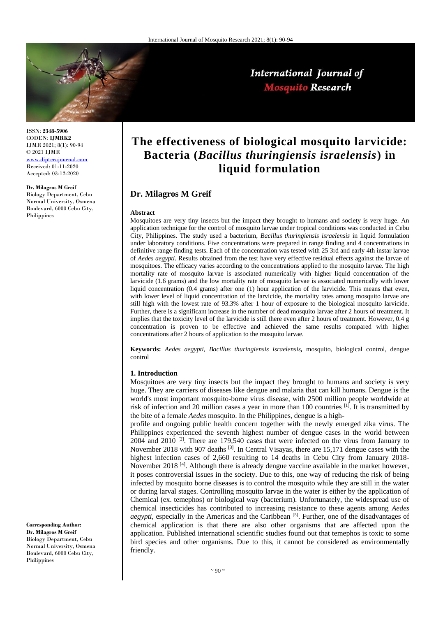

ISSN: **2348-5906** CODEN: **IJMRK2** IJMR 2021; 8(1): 90-94 © 2021 IJMR <www.dipterajournal.com>

Received: 01-11-2020 Accepted: 03-12-2020

**Dr. Milagros M Greif**

Biology Department, Cebu Normal University, Osmena Boulevard, 6000 Cebu City, Philippines

# **The effectiveness of biological mosquito larvicide: Bacteria (***Bacillus thuringiensis israelensis***) in liquid formulation**

International Journal of **Mosquito Research** 

## **Dr. Milagros M Greif**

#### **Abstract**

Mosquitoes are very tiny insects but the impact they brought to humans and society is very huge. An application technique for the control of mosquito larvae under tropical conditions was conducted in Cebu City, Philippines. The study used a bacterium, *Bacillus thuringiensis israelensis* in liquid formulation under laboratory conditions. Five concentrations were prepared in range finding and 4 concentrations in definitive range finding tests. Each of the concentration was tested with 25 3rd and early 4th instar larvae of *Aedes aegypti*. Results obtained from the test have very effective residual effects against the larvae of mosquitoes. The efficacy varies according to the concentrations applied to the mosquito larvae. The high mortality rate of mosquito larvae is associated numerically with higher liquid concentration of the larvicide (1.6 grams) and the low mortality rate of mosquito larvae is associated numerically with lower liquid concentration (0.4 grams) after one (1) hour application of the larvicide. This means that even, with lower level of liquid concentration of the larvicide, the mortality rates among mosquito larvae are still high with the lowest rate of 93.3% after 1 hour of exposure to the biological mosquito larvicide. Further, there is a significant increase in the number of dead mosquito larvae after 2 hours of treatment. It implies that the toxicity level of the larvicide is still there even after 2 hours of treatment. However, 0.4 g concentration is proven to be effective and achieved the same results compared with higher concentrations after 2 hours of application to the mosquito larvae.

**Keywords:** *Aedes aegypti*, *Bacillus thuringiensis israelensis,* mosquito*,* biological control, dengue control

#### **1. Introduction**

Mosquitoes are very tiny insects but the impact they brought to humans and society is very huge. They are carriers of diseases like dengue and malaria that can kill humans. Dengue is the world's most important mosquito-borne virus disease, with 2500 million people worldwide at risk of infection and 20 million cases a year in more than 100 countries [1]. It is transmitted by the bite of a female *Aedes* mosquito. In the Philippines, dengue is a high-

profile and ongoing public health concern together with the newly emerged zika virus. The Philippines experienced the seventh highest number of dengue cases in the world between 2004 and 2010 [2]. There are 179,540 cases that were infected on the virus from January to November 2018 with 907 deaths <sup>[3]</sup>. In Central Visayas, there are 15,171 dengue cases with the highest infection cases of 2,660 resulting to 14 deaths in Cebu City from January 2018- November 2018<sup>[4]</sup>. Although there is already dengue vaccine available in the market however, it poses controversial issues in the society. Due to this, one way of reducing the risk of being infected by mosquito borne diseases is to control the mosquito while they are still in the water or during larval stages. Controlling mosquito larvae in the water is either by the application of Chemical (ex. temephos) or biological way (bacterium). Unfortunately, the widespread use of chemical insecticides has contributed to increasing resistance to these agents among *Aedes aegypti*, especially in the Americas and the Caribbean<sup>[5]</sup>. Further, one of the disadvantages of chemical application is that there are also other organisms that are affected upon the application. Published international scientific studies found out that temephos is toxic to some bird species and other organisms. Due to this, it cannot be considered as environmentally friendly.

**Corresponding Author: Dr. Milagros M Greif** Biology Department, Cebu Normal University, Osmena

Philippines

Boulevard, 6000 Cebu City,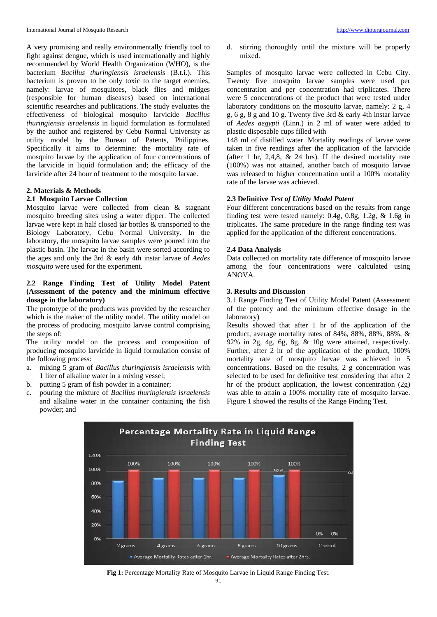A very promising and really environmentally friendly tool to fight against dengue, which is used internationally and highly recommended by World Health Organization (WHO), is the bacterium *Bacillus thuringiensis israelensis* (B.t.i.). This bacterium is proven to be only toxic to the target enemies, namely: larvae of mosquitoes, black flies and midges (responsible for human diseases) based on international scientific researches and publications. The study evaluates the effectiveness of biological mosquito larvicide *Bacillus thuringiensis israelensis* in liquid formulation as formulated by the author and registered by Cebu Normal University as utility model by the Bureau of Patents, Philippines. Specifically it aims to determine: the mortality rate of mosquito larvae by the application of four concentrations of the larvicide in liquid formulation and; the efficacy of the larvicide after 24 hour of treatment to the mosquito larvae.

#### **2. Materials & Methods**

### **2.1 Mosquito Larvae Collection**

Mosquito larvae were collected from clean & stagnant mosquito breeding sites using a water dipper. The collected larvae were kept in half closed jar bottles & transported to the Biology Laboratory, Cebu Normal University. In the laboratory, the mosquito larvae samples were poured into the plastic basin. The larvae in the basin were sorted according to the ages and only the 3rd & early 4th instar larvae of *Aedes mosquito* were used for the experiment.

## **2.2 Range Finding Test of Utility Model Patent (Assessment of the potency and the minimum effective dosage in the laboratory)**

The prototype of the products was provided by the researcher which is the maker of the utility model. The utility model on the process of producing mosquito larvae control comprising the steps of:

The utility model on the process and composition of producing mosquito larvicide in liquid formulation consist of the following process:

- a. mixing 5 gram of *Bacillus thuringiensis israelensis* with 1 liter of alkaline water in a mixing vessel;
- b. putting 5 gram of fish powder in a container;
- c. pouring the mixture of *Bacillus thuringiensis israelensis*  and alkaline water in the container containing the fish powder; and

d. stirring thoroughly until the mixture will be properly mixed.

Samples of mosquito larvae were collected in Cebu City. Twenty five mosquito larvae samples were used per concentration and per concentration had triplicates. There were 5 concentrations of the product that were tested under laboratory conditions on the mosquito larvae, namely: 2 g, 4 g, 6 g, 8 g and 10 g. Twenty five 3rd & early 4th instar larvae of *Aedes aegypti* (Linn.) in 2 ml of water were added to plastic disposable cups filled with

148 ml of distilled water. Mortality readings of larvae were taken in five readings after the application of the larvicide (after 1 hr, 2,4,8,  $\&$  24 hrs). If the desired mortality rate (100%) was not attained, another batch of mosquito larvae was released to higher concentration until a 100% mortality rate of the larvae was achieved.

#### **2.3 Definitive** *Test of Utility Model Patent*

Four different concentrations based on the results from range finding test were tested namely: 0.4g, 0.8g, 1.2g, & 1.6g in triplicates. The same procedure in the range finding test was applied for the application of the different concentrations.

#### **2.4 Data Analysis**

Data collected on mortality rate difference of mosquito larvae among the four concentrations were calculated using ANOVA.

#### **3. Results and Discussion**

3.1 Range Finding Test of Utility Model Patent (Assessment of the potency and the minimum effective dosage in the laboratory)

Results showed that after 1 hr of the application of the product, average mortality rates of 84%, 88%, 88%, 88%, & 92% in 2g, 4g, 6g, 8g, & 10g were attained, respectively. Further, after 2 hr of the application of the product, 100% mortality rate of mosquito larvae was achieved in 5 concentrations. Based on the results, 2 g concentration was selected to be used for definitive test considering that after 2 hr of the product application, the lowest concentration  $(2g)$ was able to attain a 100% mortality rate of mosquito larvae. Figure 1 showed the results of the Range Finding Test.



**Fig 1:** Percentage Mortality Rate of Mosquito Larvae in Liquid Range Finding Test.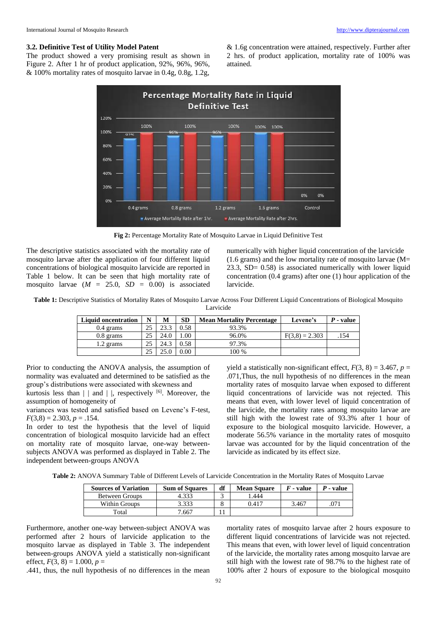#### **3.2. Definitive Test of Utility Model Patent**

The product showed a very promising result as shown in Figure 2. After 1 hr of product application, 92%, 96%, 96%,  $& 100\%$  mortality rates of mosquito larvae in 0.4g, 0.8g, 1.2g,



attained.

**Fig 2:** Percentage Mortality Rate of Mosquito Larvae in Liquid Definitive Test

The descriptive statistics associated with the mortality rate of mosquito larvae after the application of four different liquid concentrations of biological mosquito larvicide are reported in Table 1 below. It can be seen that high mortality rate of mosquito larvae  $(M = 25.0, SD = 0.00)$  is associated numerically with higher liquid concentration of the larvicide  $(1.6 \text{ grams})$  and the low mortality rate of mosquito larvae (M= 23.3, SD= 0.58) is associated numerically with lower liquid concentration (0.4 grams) after one (1) hour application of the larvicide.

& 1.6g concentration were attained, respectively. Further after 2 hrs. of product application, mortality rate of 100% was

**Table 1:** Descriptive Statistics of Mortality Rates of Mosquito Larvae Across Four Different Liquid Concentrations of Biological Mosquito Larvicide

| Liquid oncentration | M    | <b>SD</b> | <b>Mean Mortality Percentage</b> | Levene's         | P - value |
|---------------------|------|-----------|----------------------------------|------------------|-----------|
| $0.4 \text{ grams}$ | 23 3 | 0.58      | 93.3%                            |                  |           |
| $0.8$ grams         | 24.0 | 00.1      | 96.0%                            | $F(3,8) = 2.303$ | .154      |
| 1.2 grams           | 24.3 | 0.58      | 97.3%                            |                  |           |
|                     | ንና በ | 0.00      | 100 %                            |                  |           |

Prior to conducting the ANOVA analysis, the assumption of normality was evaluated and determined to be satisfied as the group's distributions were associated with skewness and

kurtosis less than  $||$  and  $||$ , respectively <sup>[6]</sup>. Moreover, the assumption of homogeneity of

variances was tested and satisfied based on Levene's F-test,  $F(3,8) = 2.303, p = .154.$ 

In order to test the hypothesis that the level of liquid concentration of biological mosquito larvicide had an effect on mortality rate of mosquito larvae, one-way betweensubjects ANOVA was performed as displayed in Table 2. The independent between-groups ANOVA

yield a statistically non-significant effect,  $F(3, 8) = 3.467$ ,  $p =$ .071,Thus, the null hypothesis of no differences in the mean mortality rates of mosquito larvae when exposed to different liquid concentrations of larvicide was not rejected. This means that even, with lower level of liquid concentration of the larvicide, the mortality rates among mosquito larvae are still high with the lowest rate of 93.3% after 1 hour of exposure to the biological mosquito larvicide. However, a moderate 56.5% variance in the mortality rates of mosquito larvae was accounted for by the liquid concentration of the larvicide as indicated by its effect size.

**Table 2:** ANOVA Summary Table of Different Levels of Larvicide Concentration in the Mortality Rates of Mosquito Larvae

| <b>Sources of Variation</b> | <b>Sum of Squares</b> | df | <b>Mean Square</b> | $F$ - value | <i>P</i> - value |
|-----------------------------|-----------------------|----|--------------------|-------------|------------------|
| <b>Between Groups</b>       | 4.333                 |    | .444               |             |                  |
| Within Groups               | 3.333                 |    | 0.417              | 3.467       |                  |
| $\tau$ otal                 | 7.667                 |    |                    |             |                  |

Furthermore, another one-way between-subject ANOVA was performed after 2 hours of larvicide application to the mosquito larvae as displayed in Table 3. The independent between-groups ANOVA yield a statistically non-significant effect,  $F(3, 8) = 1.000, p =$ 

.441, thus, the null hypothesis of no differences in the mean

mortality rates of mosquito larvae after 2 hours exposure to different liquid concentrations of larvicide was not rejected. This means that even, with lower level of liquid concentration of the larvicide, the mortality rates among mosquito larvae are still high with the lowest rate of 98.7% to the highest rate of 100% after 2 hours of exposure to the biological mosquito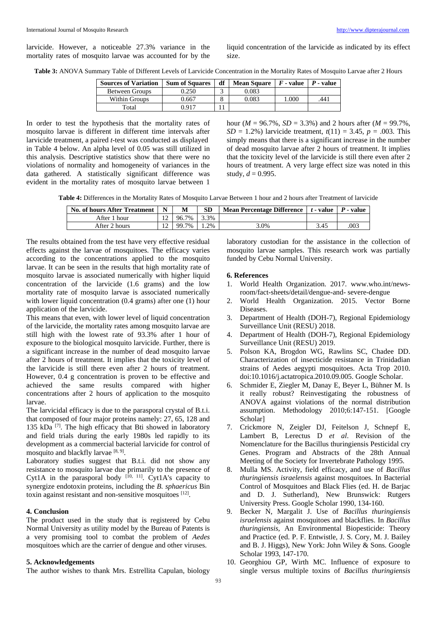larvicide. However, a noticeable 27.3% variance in the mortality rates of mosquito larvae was accounted for by the liquid concentration of the larvicide as indicated by its effect size.

**Table 3:** ANOVA Summary Table of Different Levels of Larvicide Concentration in the Mortality Rates of Mosquito Larvae after 2 Hours

| <b>Sources of Variation</b> | <b>Sum of Squares</b> | df | <b>Mean Square</b> | $F$ - value | $P$ - value |
|-----------------------------|-----------------------|----|--------------------|-------------|-------------|
| <b>Between Groups</b>       | 0.250                 |    | 0.083              |             |             |
| Within Groups               | 9.667                 |    | 0.083              | 000.        | .441        |
| Total                       | ገ 917                 |    |                    |             |             |

In order to test the hypothesis that the mortality rates of mosquito larvae is different in different time intervals after larvicide treatment, a paired *t*-test was conducted as displayed in Table 4 below. An alpha level of 0.05 was still utilized in this analysis. Descriptive statistics show that there were no violations of normality and homogeneity of variances in the data gathered. A statistically significant difference was evident in the mortality rates of mosquito larvae between 1

hour ( $M = 96.7\%$ ,  $SD = 3.3\%$ ) and 2 hours after ( $M = 99.7\%$ , *SD* = 1.2%) larvicide treatment,  $t(11) = 3.45$ ,  $p = .003$ . This simply means that there is a significant increase in the number of dead mosquito larvae after 2 hours of treatment. It implies that the toxicity level of the larvicide is still there even after 2 hours of treatment. A very large effect size was noted in this study,  $d = 0.995$ .

**Table 4:** Differences in the Mortality Rates of Mosquito Larvae Between 1 hour and 2 hours after Treatment of larvicide

| No. of hours After Treatment |  | M          | <b>SD</b> | Mean Percentage Difference $\mid t$ - value $\mid P$ - value |      |     |
|------------------------------|--|------------|-----------|--------------------------------------------------------------|------|-----|
| After 1 hour                 |  | 96.7% 3.3% |           |                                                              |      |     |
| After 2 hours                |  | 99.7%      | $.2\%$    | 3.0%                                                         | 3.45 | 003 |

The results obtained from the test have very effective residual effects against the larvae of mosquitoes. The efficacy varies according to the concentrations applied to the mosquito larvae. It can be seen in the results that high mortality rate of mosquito larvae is associated numerically with higher liquid concentration of the larvicide (1.6 grams) and the low mortality rate of mosquito larvae is associated numerically with lower liquid concentration (0.4 grams) after one (1) hour application of the larvicide.

This means that even, with lower level of liquid concentration of the larvicide, the mortality rates among mosquito larvae are still high with the lowest rate of 93.3% after 1 hour of exposure to the biological mosquito larvicide. Further, there is a significant increase in the number of dead mosquito larvae after 2 hours of treatment. It implies that the toxicity level of the larvicide is still there even after 2 hours of treatment. However, 0.4 g concentration is proven to be effective and achieved the same results compared with higher concentrations after 2 hours of application to the mosquito larvae.

The larvicidal efficacy is due to the parasporal crystal of B.t.i. that composed of four major proteins namely: 27, 65, 128 and 135 kDa  $^{[7]}$ . The high efficacy that Bti showed in laboratory and field trials during the early 1980s led rapidly to its development as a commercial bacterial larvicide for control of mosquito and blackfly larvae [8, 9].

Laboratory studies suggest that B.t.i. did not show any resistance to mosquito larvae due primarily to the presence of Cyt1A in the parasporal body  $[10, 11]$ . Cyt1A's capacity to synergize endotoxin proteins, including the *B. sphaericus* Bin toxin against resistant and non-sensitive mosquitoes [12].

### **4. Conclusion**

The product used in the study that is registered by Cebu Normal University as utility model by the Bureau of Patents is a very promising tool to combat the problem of *Aedes*  mosquitoes which are the carrier of dengue and other viruses.

## **5. Acknowledgements**

The author wishes to thank Mrs. Estrellita Capulan, biology

laboratory custodian for the assistance in the collection of mosquito larvae samples. This research work was partially funded by Cebu Normal University.

## **6. References**

- 1. World Health Organization. 2017. www.who.int/newsroom/fact-sheets/detail/dengue-and- severe-dengue
- 2. World Health Organization. 2015. Vector Borne Diseases.
- 3. Department of Health (DOH-7), Regional Epidemiology Surveillance Unit (RESU) 2018.
- 4. Department of Health (DOH-7), Regional Epidemiology Surveillance Unit (RESU) 2019.
- 5. Polson KA, Brogdon WG, Rawlins SC, Chadee DD. Characterization of insecticide resistance in Trinidadian strains of Aedes aegypti mosquitoes. Acta Trop 2010. doi:10.1016/j.actatropica.2010.09.005. Google Scholar.
- 6. Schmider E, Ziegler M, Danay E, Beyer L, Bühner M. Is it really robust? Reinvestigating the robustness of ANOVA against violations of the normal distribution assumption. Methodology 2010;6:147-151. [Google Scholar]
- 7. Crickmore N, Zeigler DJ, Feitelson J, Schnepf E, Lambert B, Lerectus D *et al*. Revision of the Nomenclature for the Bacillus thuringiensis Pesticidal cry Genes. Program and Abstracts of the 28th Annual Meeting of the Society for Invertebrate Pathology 1995.
- 8. Mulla MS. Activity, field efficacy, and use of *Bacillus thuringiensis israelensis* against mosquitoes. In Bacterial Control of Mosquitoes and Black Flies (ed. H. de Barjac and D. J. Sutherland), New Brunswick: Rutgers University Press. Google Scholar 1990, 134-160.
- 9. Becker N, Margalit J. Use of *Bacillus thuringiensis israelensis* against mosquitoes and blackflies. In *Bacillus thuringiensis,* An Environmental Biopesticide: Theory and Practice (ed. P. F. Entwistle, J. S. Cory, M. J. Bailey and B. J. Higgs), New York: John Wiley & Sons. Google Scholar 1993, 147-170.
- 10. Georghiou GP, Wirth MC. Influence of exposure to single versus multiple toxins of *Bacillus thuringiensis*